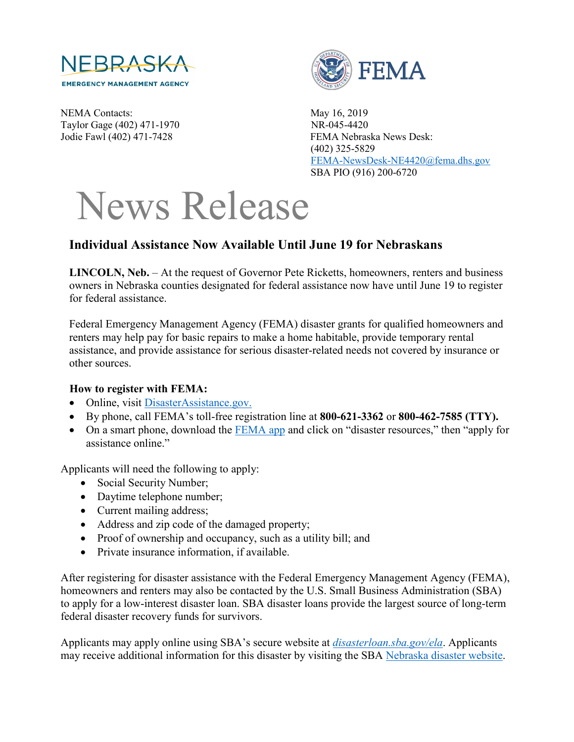

NEMA Contacts: May 16, 2019 Taylor Gage (402) 471-1970 NR-045-4420



Jodie Fawl (402) 471-7428 FEMA Nebraska News Desk: (402) 325-5829 [FEMA-NewsDesk-NE4420@fema.dhs.gov](mailto:FEMA-NewsDesk-NE4420@fema.dhs.gov) SBA PIO (916) 200-6720

## News Release

## **Individual Assistance Now Available Until June 19 for Nebraskans**

**LINCOLN, Neb.** – At the request of Governor Pete Ricketts, homeowners, renters and business owners in Nebraska counties designated for federal assistance now have until June 19 to register for federal assistance.

Federal Emergency Management Agency (FEMA) disaster grants for qualified homeowners and renters may help pay for basic repairs to make a home habitable, provide temporary rental assistance, and provide assistance for serious disaster-related needs not covered by insurance or other sources.

## **How to register with FEMA:**

- Online, visit [DisasterAssistance.gov.](http://www.disasterassistance.gov/)
- By phone, call FEMA's toll-free registration line at **800-621-3362** or **800-462-7585 (TTY).**
- On a smart phone, download the [FEMA app](https://www.fema.gov/mobile-app) and click on "disaster resources," then "apply for assistance online."

Applicants will need the following to apply:

- Social Security Number;
- Daytime telephone number;
- Current mailing address;
- Address and zip code of the damaged property;
- Proof of ownership and occupancy, such as a utility bill; and
- Private insurance information, if available.

After registering for disaster assistance with the Federal Emergency Management Agency (FEMA), homeowners and renters may also be contacted by the U.S. Small Business Administration (SBA) to apply for a low-interest disaster loan. SBA disaster loans provide the largest source of long-term federal disaster recovery funds for survivors.

Applicants may apply online using SBA's secure website at *[disasterloan.sba.gov/ela](https://disasterloan.sba.gov/ela)*. Applicants may receive additional information for this disaster by visiting the SBA [Nebraska disaster website.](https://disasterloan.sba.gov/ela/Declarations/DeclarationDetails?declNumber=5735982&direct=false)